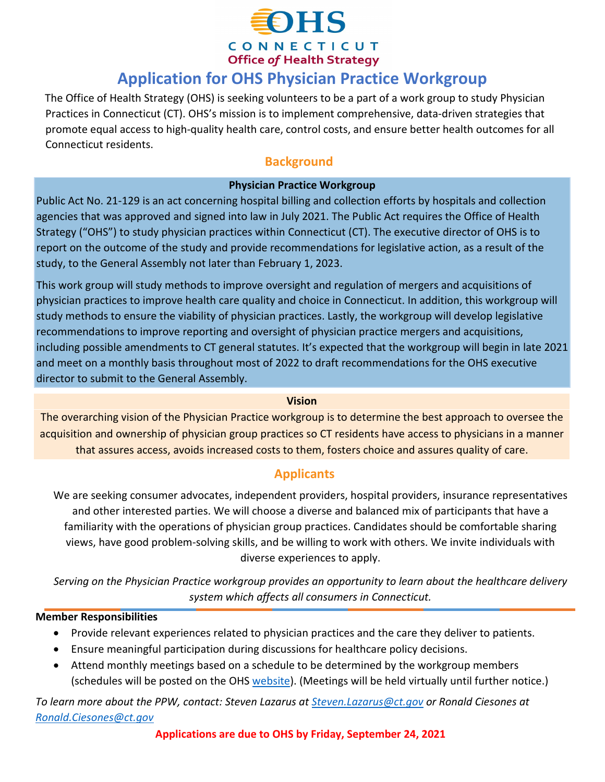

CONNECTICUT **Office of Health Strategy** 

# **Application for OHS Physician Practice Workgroup**

The Office of Health Strategy (OHS) is seeking volunteers to be a part of a work group to study Physician Practices in Connecticut (CT). OHS's mission is to implement comprehensive, data-driven strategies that promote equal access to high-quality health care, control costs, and ensure better health outcomes for all Connecticut residents.

### **Background**

#### **Physician Practice Workgroup**

Public Act No. 21-129 is an act concerning hospital billing and collection efforts by hospitals and collection agencies that was approved and signed into law in July 2021. The Public Act requires the Office of Health Strategy ("OHS") to study physician practices within Connecticut (CT). The executive director of OHS is to report on the outcome of the study and provide recommendations for legislative action, as a result of the study, to the General Assembly not later than February 1, 2023.

This work group will study methods to improve oversight and regulation of mergers and acquisitions of physician practices to improve health care quality and choice in Connecticut. In addition, this workgroup will study methods to ensure the viability of physician practices. Lastly, the workgroup will develop legislative recommendations to improve reporting and oversight of physician practice mergers and acquisitions, including possible amendments to CT general statutes. It's expected that the workgroup will begin in late 2021 and meet on a monthly basis throughout most of 2022 to draft recommendations for the OHS executive director to submit to the General Assembly.

#### **Vision**

The overarching vision of the Physician Practice workgroup is to determine the best approach to oversee the acquisition and ownership of physician group practices so CT residents have access to physicians in a manner that assures access, avoids increased costs to them, fosters choice and assures quality of care.

## **Applicants**

We are seeking consumer advocates, independent providers, hospital providers, insurance representatives and other interested parties. We will choose a diverse and balanced mix of participants that have a familiarity with the operations of physician group practices. Candidates should be comfortable sharing views, have good problem-solving skills, and be willing to work with others. We invite individuals with diverse experiences to apply.

*Serving on the Physician Practice workgroup provides an opportunity to learn about the healthcare delivery system which affects all consumers in Connecticut.*

#### **Member Responsibilities**

- Provide relevant experiences related to physician practices and the care they deliver to patients.
- Ensure meaningful participation during discussions for healthcare policy decisions.
- Attend monthly meetings based on a schedule to be determined by the workgroup members (schedules will be posted on the OHS [website](https://portal.ct.gov/OHS/Pages/Quality-Council)[\).](https://portal.ct.gov/OHS/Pages/Consumer-Advisory-Board) (Meetings will be held virtually until further notice.)

*To learn more about the PPW, contact: Steven Lazarus at [Steven.Lazarus@ct.gov](mailto:Steven.Lazarus@ct.gov) or Ronald Ciesones at [Ronald.Ciesones@ct.gov](mailto:Ronald.Ciesones@ct.gov)*

**Applications are due to OHS by Friday, September 24, 2021**